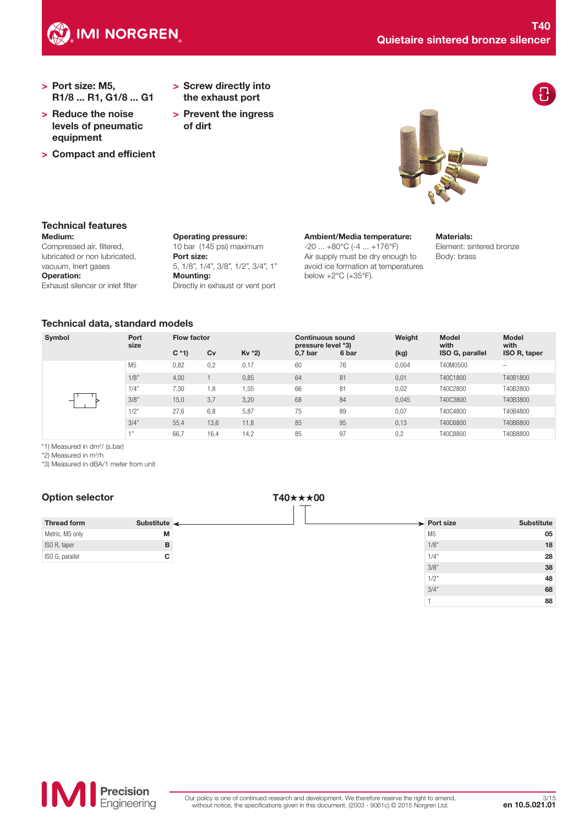

- > Port size: M5, R1/8 ... R1, G1/8 ... G1
- > Reduce the noise levels of pneumatic equipment
- > Compact and efficient
- > Screw directly into the exhaust port
- > Prevent the ingress of dirt



## Medium: Technical features

Compressed air, filtered, lubricated or non lubricated, vacuum, Inert gases Operation: Exhaust silencer or inlet filter Operating pressure: 10 bar (145 psi) maximum Port size: 5, 1/8", 1/4", 3/8", 1/2", 3/4", 1" Mounting: Directly in exhaust or vent port

Ambient/Media temperature:

-20 ... +80°C (-4 ... +176°F) Air supply must be dry enough to avoid ice formation at temperatures below +2°C (+35°F).

## Materials:

Element: sintered bronze Body: brass

## Technical data, standard models

| Symbol | Port<br>size   | <b>Flow factor</b> |      | <b>Continuous sound</b><br>pressure level *3) |           | Weight | <b>Model</b><br>with | <b>Model</b><br>with |              |
|--------|----------------|--------------------|------|-----------------------------------------------|-----------|--------|----------------------|----------------------|--------------|
|        |                | $C * 1$            | Cv   | Kv *2)                                        | $0,7$ bar | 6 bar  | (kg)                 | ISO G, parallel      | ISO R, taper |
|        | M <sub>5</sub> | 0,82               | 0,2  | 0,17                                          | 60        | 76     | 0,004                | T40M0500             | -            |
|        | 1/8"           | 4,00               |      | 0,85                                          | 64        | 81     | 0,01                 | T40C1800             | T40B1800     |
|        | 1/4"           | 7,30               | 1,8  | 1,55                                          | 66        | 81     | 0,02                 | T40C2800             | T40B2800     |
|        | 3/8"           | 15,0               | 3,7  | 3,20                                          | 68        | 84     | 0,045                | T40C3800             | T40B3800     |
|        | 1/2"           | 27,6               | 6,8  | 5,87                                          | 75        | 89     | 0,07                 | T40C4800             | T40B4800     |
|        | 3/4"           | 55,4               | 13,6 | 11,8                                          | 85        | 95     | 0,13                 | T40C6800             | T40B6800     |
|        | $-4, 33$       | 66,7               | 16,4 | 14,2                                          | 85        | 97     | 0,2                  | T40C8800             | T40B8800     |

\*1) Measured in dm3 / (s.bar)

\*2) Measured in m3 /h

\*3) Measured in dBA/1 meter from unit

# Option selector T40**<sup>★★★00</sup>**

| <b>Thread form</b> | Substitute $\leftarrow$ |  |
|--------------------|-------------------------|--|
| Metric, M5 only    | м                       |  |
| ISO R, taper       | R                       |  |
| ISO G, parallel    | r.                      |  |

| <b>Substitute</b> | $\rightarrow$ Port size |  |  |  |  |
|-------------------|-------------------------|--|--|--|--|
| 05                | M <sub>5</sub>          |  |  |  |  |
| 18                | 1/8"                    |  |  |  |  |
| 28                | 1/4"                    |  |  |  |  |
| 38                | 3/8"                    |  |  |  |  |
| 48                | 1/2"                    |  |  |  |  |
| 68                | 3/4"                    |  |  |  |  |
| 88                | н                       |  |  |  |  |